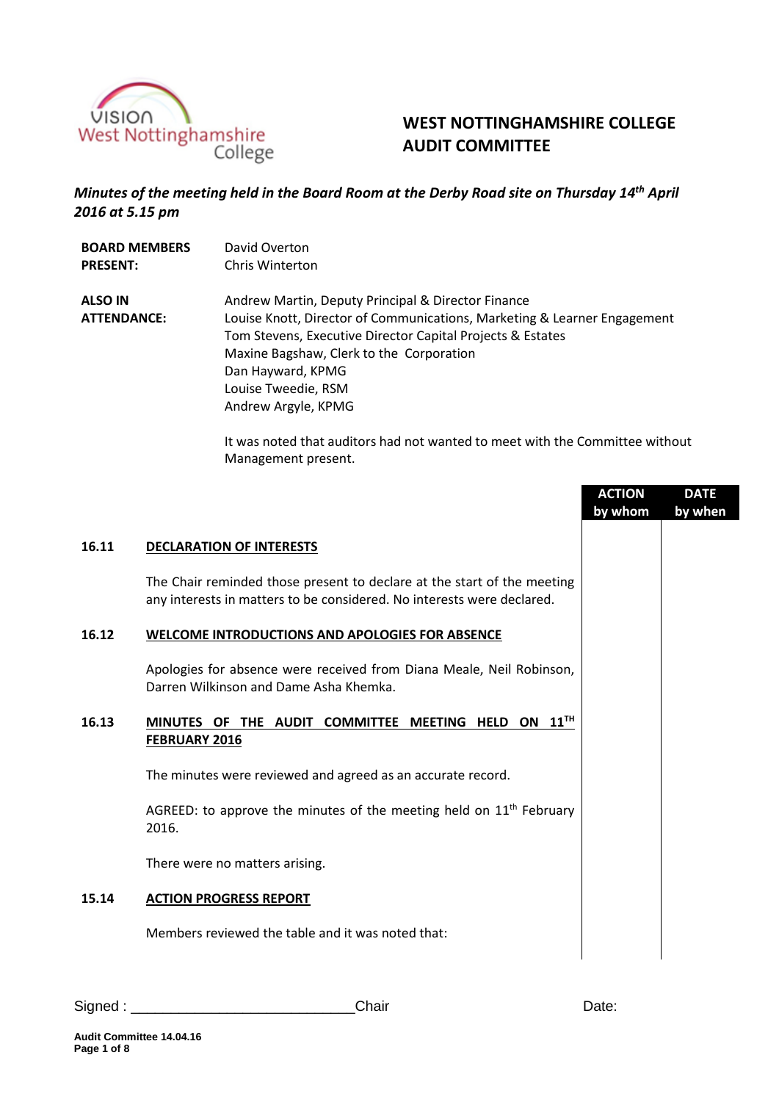

# **WEST NOTTINGHAMSHIRE COLLEGE AUDIT COMMITTEE**

# *Minutes of the meeting held in the Board Room at the Derby Road site on Thursday 14 th April 2016 at 5.15 pm*

**BOARD MEMBERS PRESENT:** David Overton Chris Winterton **ALSO IN ATTENDANCE:** Andrew Martin, Deputy Principal & Director Finance Louise Knott, Director of Communications, Marketing & Learner Engagement Tom Stevens, Executive Director Capital Projects & Estates Maxine Bagshaw, Clerk to the Corporation Dan Hayward, KPMG Louise Tweedie, RSM Andrew Argyle, KPMG

> It was noted that auditors had not wanted to meet with the Committee without Management present.

|       |                                                                                                                                                   | <b>ACTION</b><br>by whom | <b>DATE</b><br>by when |
|-------|---------------------------------------------------------------------------------------------------------------------------------------------------|--------------------------|------------------------|
| 16.11 | <b>DECLARATION OF INTERESTS</b>                                                                                                                   |                          |                        |
|       | The Chair reminded those present to declare at the start of the meeting<br>any interests in matters to be considered. No interests were declared. |                          |                        |
| 16.12 | <b>WELCOME INTRODUCTIONS AND APOLOGIES FOR ABSENCE</b>                                                                                            |                          |                        |
|       | Apologies for absence were received from Diana Meale, Neil Robinson,<br>Darren Wilkinson and Dame Asha Khemka.                                    |                          |                        |
| 16.13 | ON $11$ <sup>TH</sup><br>MINUTES OF THE AUDIT COMMITTEE<br><b>MEETING HELD</b><br><b>FEBRUARY 2016</b>                                            |                          |                        |
|       | The minutes were reviewed and agreed as an accurate record.                                                                                       |                          |                        |
|       | AGREED: to approve the minutes of the meeting held on $11th$ February<br>2016.                                                                    |                          |                        |
|       | There were no matters arising.                                                                                                                    |                          |                        |
| 15.14 | <b>ACTION PROGRESS REPORT</b>                                                                                                                     |                          |                        |
|       | Members reviewed the table and it was noted that:                                                                                                 |                          |                        |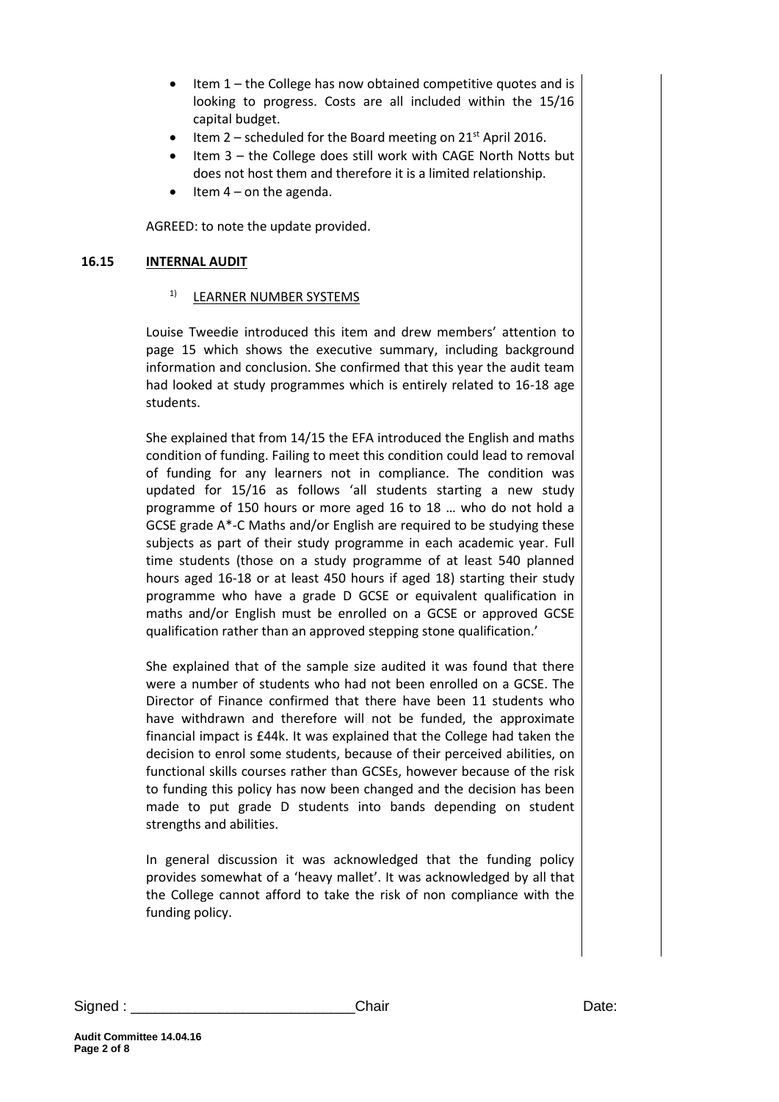- Item 1 the College has now obtained competitive quotes and is looking to progress. Costs are all included within the 15/16 capital budget.
- Item  $2$  scheduled for the Board meeting on  $21<sup>st</sup>$  April 2016.
- Item 3 the College does still work with CAGE North Notts but does not host them and therefore it is a limited relationship.
- Item 4 on the agenda.

AGREED: to note the update provided.

## **16.15 INTERNAL AUDIT**

### 1) LEARNER NUMBER SYSTEMS

Louise Tweedie introduced this item and drew members' attention to page 15 which shows the executive summary, including background information and conclusion. She confirmed that this year the audit team had looked at study programmes which is entirely related to 16-18 age students.

She explained that from 14/15 the EFA introduced the English and maths condition of funding. Failing to meet this condition could lead to removal of funding for any learners not in compliance. The condition was updated for 15/16 as follows 'all students starting a new study programme of 150 hours or more aged 16 to 18 … who do not hold a GCSE grade A\*-C Maths and/or English are required to be studying these subjects as part of their study programme in each academic year. Full time students (those on a study programme of at least 540 planned hours aged 16-18 or at least 450 hours if aged 18) starting their study programme who have a grade D GCSE or equivalent qualification in maths and/or English must be enrolled on a GCSE or approved GCSE qualification rather than an approved stepping stone qualification.'

She explained that of the sample size audited it was found that there were a number of students who had not been enrolled on a GCSE. The Director of Finance confirmed that there have been 11 students who have withdrawn and therefore will not be funded, the approximate financial impact is £44k. It was explained that the College had taken the decision to enrol some students, because of their perceived abilities, on functional skills courses rather than GCSEs, however because of the risk to funding this policy has now been changed and the decision has been made to put grade D students into bands depending on student strengths and abilities.

In general discussion it was acknowledged that the funding policy provides somewhat of a 'heavy mallet'. It was acknowledged by all that the College cannot afford to take the risk of non compliance with the funding policy.

Signed : \_\_\_\_\_\_\_\_\_\_\_\_\_\_\_\_\_\_\_\_\_\_\_\_\_\_\_\_Chair Date: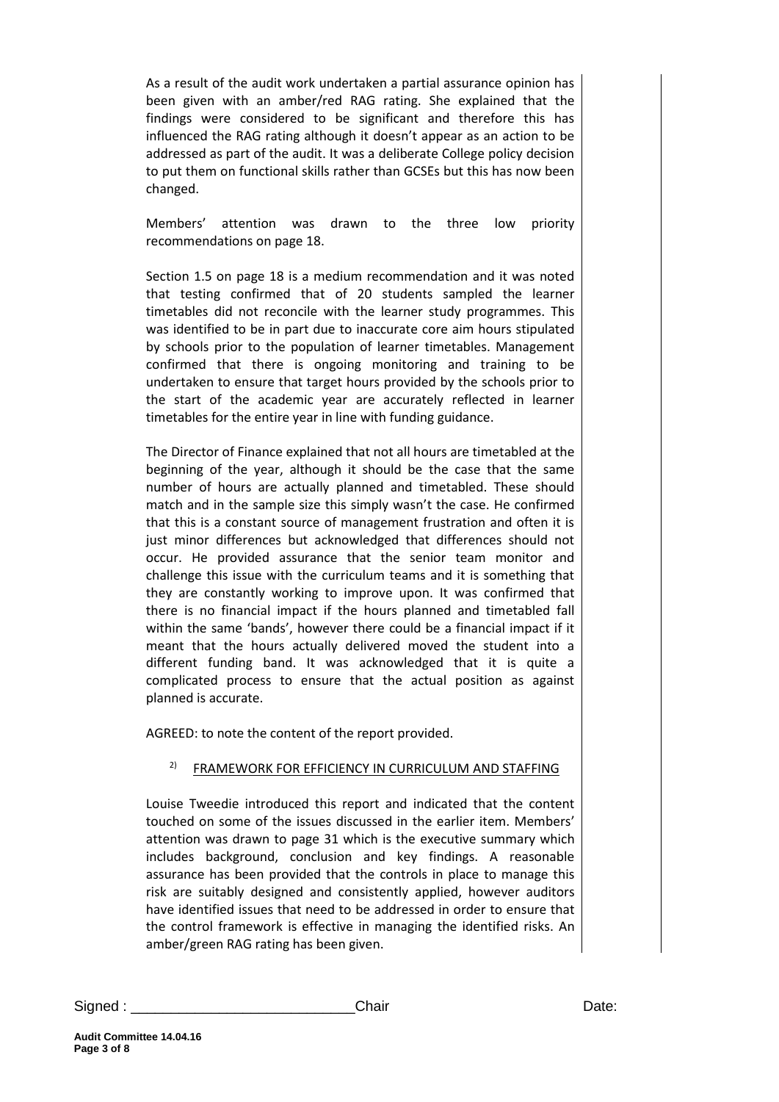As a result of the audit work undertaken a partial assurance opinion has been given with an amber/red RAG rating. She explained that the findings were considered to be significant and therefore this has influenced the RAG rating although it doesn't appear as an action to be addressed as part of the audit. It was a deliberate College policy decision to put them on functional skills rather than GCSEs but this has now been changed.

Members' attention was drawn to the three low priority recommendations on page 18.

Section 1.5 on page 18 is a medium recommendation and it was noted that testing confirmed that of 20 students sampled the learner timetables did not reconcile with the learner study programmes. This was identified to be in part due to inaccurate core aim hours stipulated by schools prior to the population of learner timetables. Management confirmed that there is ongoing monitoring and training to be undertaken to ensure that target hours provided by the schools prior to the start of the academic year are accurately reflected in learner timetables for the entire year in line with funding guidance.

The Director of Finance explained that not all hours are timetabled at the beginning of the year, although it should be the case that the same number of hours are actually planned and timetabled. These should match and in the sample size this simply wasn't the case. He confirmed that this is a constant source of management frustration and often it is just minor differences but acknowledged that differences should not occur. He provided assurance that the senior team monitor and challenge this issue with the curriculum teams and it is something that they are constantly working to improve upon. It was confirmed that there is no financial impact if the hours planned and timetabled fall within the same 'bands', however there could be a financial impact if it meant that the hours actually delivered moved the student into a different funding band. It was acknowledged that it is quite a complicated process to ensure that the actual position as against planned is accurate.

AGREED: to note the content of the report provided.

# <sup>2)</sup> FRAMEWORK FOR EFFICIENCY IN CURRICULUM AND STAFFING

Louise Tweedie introduced this report and indicated that the content touched on some of the issues discussed in the earlier item. Members' attention was drawn to page 31 which is the executive summary which includes background, conclusion and key findings. A reasonable assurance has been provided that the controls in place to manage this risk are suitably designed and consistently applied, however auditors have identified issues that need to be addressed in order to ensure that the control framework is effective in managing the identified risks. An amber/green RAG rating has been given.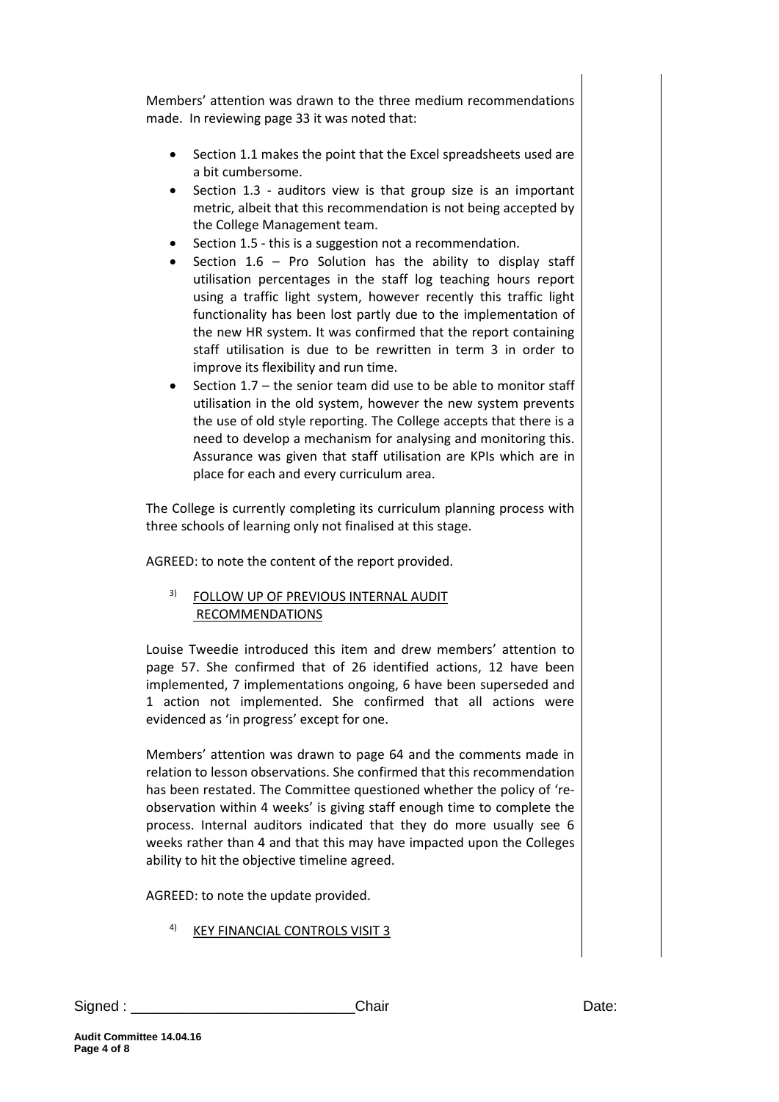Members' attention was drawn to the three medium recommendations made. In reviewing page 33 it was noted that:

- Section 1.1 makes the point that the Excel spreadsheets used are a bit cumbersome.
- Section 1.3 auditors view is that group size is an important metric, albeit that this recommendation is not being accepted by the College Management team.
- Section 1.5 this is a suggestion not a recommendation.
- Section  $1.6$  Pro Solution has the ability to display staff utilisation percentages in the staff log teaching hours report using a traffic light system, however recently this traffic light functionality has been lost partly due to the implementation of the new HR system. It was confirmed that the report containing staff utilisation is due to be rewritten in term 3 in order to improve its flexibility and run time.
- Section 1.7 the senior team did use to be able to monitor staff utilisation in the old system, however the new system prevents the use of old style reporting. The College accepts that there is a need to develop a mechanism for analysing and monitoring this. Assurance was given that staff utilisation are KPIs which are in place for each and every curriculum area.

The College is currently completing its curriculum planning process with three schools of learning only not finalised at this stage.

AGREED: to note the content of the report provided.

# 3) FOLLOW UP OF PREVIOUS INTERNAL AUDIT RECOMMENDATIONS

Louise Tweedie introduced this item and drew members' attention to page 57. She confirmed that of 26 identified actions, 12 have been implemented, 7 implementations ongoing, 6 have been superseded and 1 action not implemented. She confirmed that all actions were evidenced as 'in progress' except for one.

Members' attention was drawn to page 64 and the comments made in relation to lesson observations. She confirmed that this recommendation has been restated. The Committee questioned whether the policy of 'reobservation within 4 weeks' is giving staff enough time to complete the process. Internal auditors indicated that they do more usually see 6 weeks rather than 4 and that this may have impacted upon the Colleges ability to hit the objective timeline agreed.

AGREED: to note the update provided.

4) KEY FINANCIAL CONTROLS VISIT 3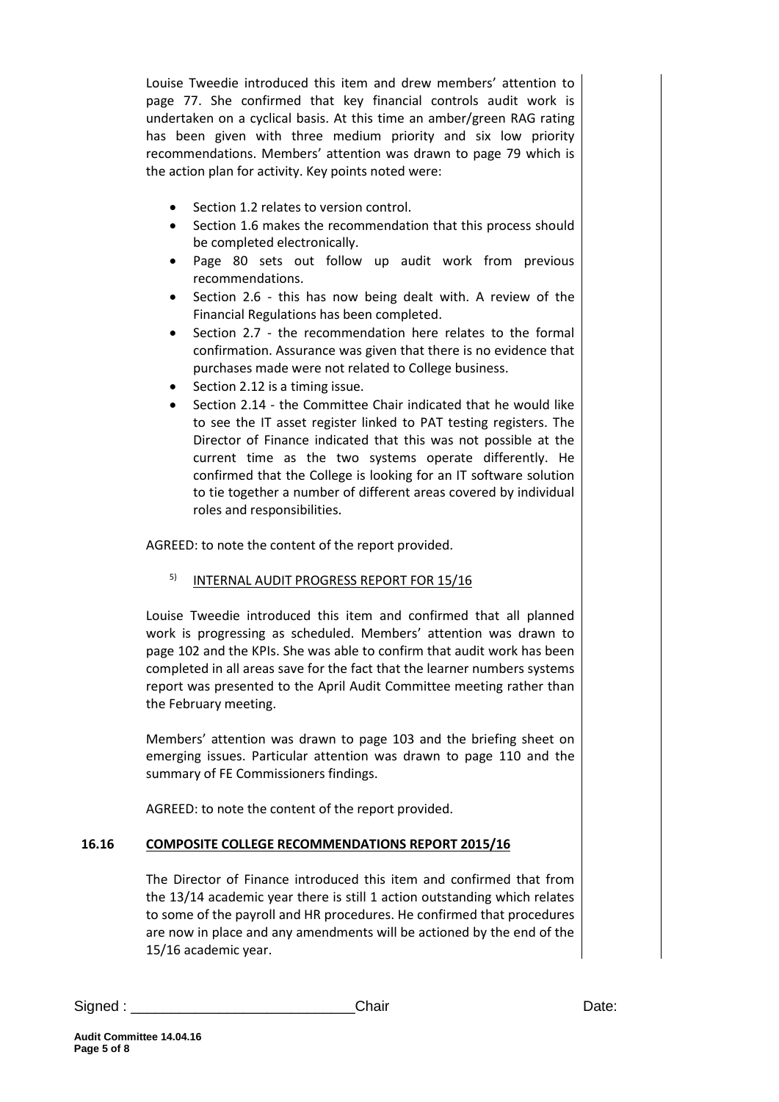Louise Tweedie introduced this item and drew members' attention to page 77. She confirmed that key financial controls audit work is undertaken on a cyclical basis. At this time an amber/green RAG rating has been given with three medium priority and six low priority recommendations. Members' attention was drawn to page 79 which is the action plan for activity. Key points noted were:

- Section 1.2 relates to version control.
- Section 1.6 makes the recommendation that this process should be completed electronically.
- Page 80 sets out follow up audit work from previous recommendations.
- Section 2.6 this has now being dealt with. A review of the Financial Regulations has been completed.
- Section 2.7 the recommendation here relates to the formal confirmation. Assurance was given that there is no evidence that purchases made were not related to College business.
- Section 2.12 is a timing issue.
- Section 2.14 the Committee Chair indicated that he would like to see the IT asset register linked to PAT testing registers. The Director of Finance indicated that this was not possible at the current time as the two systems operate differently. He confirmed that the College is looking for an IT software solution to tie together a number of different areas covered by individual roles and responsibilities.

AGREED: to note the content of the report provided.

#### <sup>5)</sup> INTERNAL AUDIT PROGRESS REPORT FOR 15/16

Louise Tweedie introduced this item and confirmed that all planned work is progressing as scheduled. Members' attention was drawn to page 102 and the KPIs. She was able to confirm that audit work has been completed in all areas save for the fact that the learner numbers systems report was presented to the April Audit Committee meeting rather than the February meeting.

Members' attention was drawn to page 103 and the briefing sheet on emerging issues. Particular attention was drawn to page 110 and the summary of FE Commissioners findings.

AGREED: to note the content of the report provided.

#### **16.16 COMPOSITE COLLEGE RECOMMENDATIONS REPORT 2015/16**

The Director of Finance introduced this item and confirmed that from the 13/14 academic year there is still 1 action outstanding which relates to some of the payroll and HR procedures. He confirmed that procedures are now in place and any amendments will be actioned by the end of the 15/16 academic year.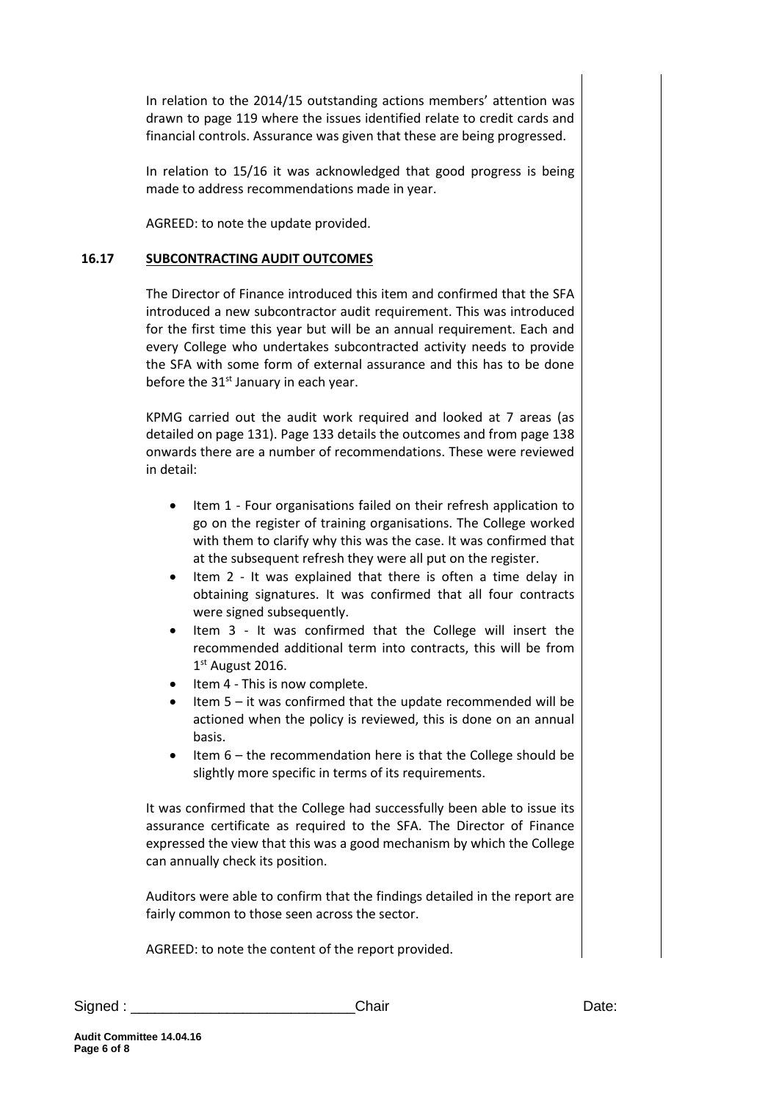In relation to the 2014/15 outstanding actions members' attention was drawn to page 119 where the issues identified relate to credit cards and financial controls. Assurance was given that these are being progressed.

In relation to 15/16 it was acknowledged that good progress is being made to address recommendations made in year.

AGREED: to note the update provided.

#### **16.17 SUBCONTRACTING AUDIT OUTCOMES**

The Director of Finance introduced this item and confirmed that the SFA introduced a new subcontractor audit requirement. This was introduced for the first time this year but will be an annual requirement. Each and every College who undertakes subcontracted activity needs to provide the SFA with some form of external assurance and this has to be done before the  $31<sup>st</sup>$  January in each year.

KPMG carried out the audit work required and looked at 7 areas (as detailed on page 131). Page 133 details the outcomes and from page 138 onwards there are a number of recommendations. These were reviewed in detail:

- Item 1 Four organisations failed on their refresh application to go on the register of training organisations. The College worked with them to clarify why this was the case. It was confirmed that at the subsequent refresh they were all put on the register.
- Item 2 It was explained that there is often a time delay in obtaining signatures. It was confirmed that all four contracts were signed subsequently.
- Item 3 It was confirmed that the College will insert the recommended additional term into contracts, this will be from 1st August 2016.
- Item 4 This is now complete.
- Item 5 it was confirmed that the update recommended will be actioned when the policy is reviewed, this is done on an annual basis.
- Item 6 the recommendation here is that the College should be slightly more specific in terms of its requirements.

It was confirmed that the College had successfully been able to issue its assurance certificate as required to the SFA. The Director of Finance expressed the view that this was a good mechanism by which the College can annually check its position.

Auditors were able to confirm that the findings detailed in the report are fairly common to those seen across the sector.

AGREED: to note the content of the report provided.

Signed : \_\_\_\_\_\_\_\_\_\_\_\_\_\_\_\_\_\_\_\_\_\_\_\_\_\_\_\_Chair Date: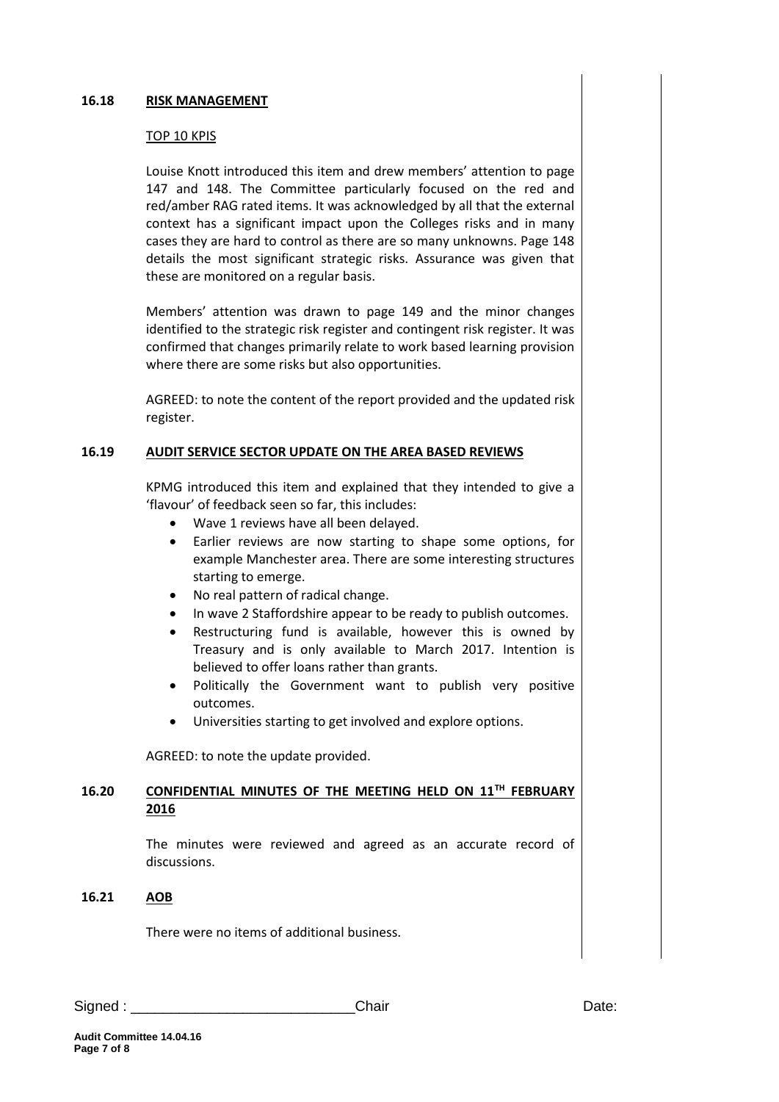#### **16.18 RISK MANAGEMENT**

#### TOP 10 KPIS

Louise Knott introduced this item and drew members' attention to page 147 and 148. The Committee particularly focused on the red and red/amber RAG rated items. It was acknowledged by all that the external context has a significant impact upon the Colleges risks and in many cases they are hard to control as there are so many unknowns. Page 148 details the most significant strategic risks. Assurance was given that these are monitored on a regular basis.

Members' attention was drawn to page 149 and the minor changes identified to the strategic risk register and contingent risk register. It was confirmed that changes primarily relate to work based learning provision where there are some risks but also opportunities.

AGREED: to note the content of the report provided and the updated risk register.

#### **16.19 AUDIT SERVICE SECTOR UPDATE ON THE AREA BASED REVIEWS**

KPMG introduced this item and explained that they intended to give a 'flavour' of feedback seen so far, this includes:

- Wave 1 reviews have all been delayed.
- Earlier reviews are now starting to shape some options, for example Manchester area. There are some interesting structures starting to emerge.
- No real pattern of radical change.
- In wave 2 Staffordshire appear to be ready to publish outcomes.
- Restructuring fund is available, however this is owned by Treasury and is only available to March 2017. Intention is believed to offer loans rather than grants.
- Politically the Government want to publish very positive outcomes.
- Universities starting to get involved and explore options.

AGREED: to note the update provided.

### **16.20 CONFIDENTIAL MINUTES OF THE MEETING HELD ON 11TH FEBRUARY 2016**

The minutes were reviewed and agreed as an accurate record of discussions.

#### **16.21 AOB**

There were no items of additional business.